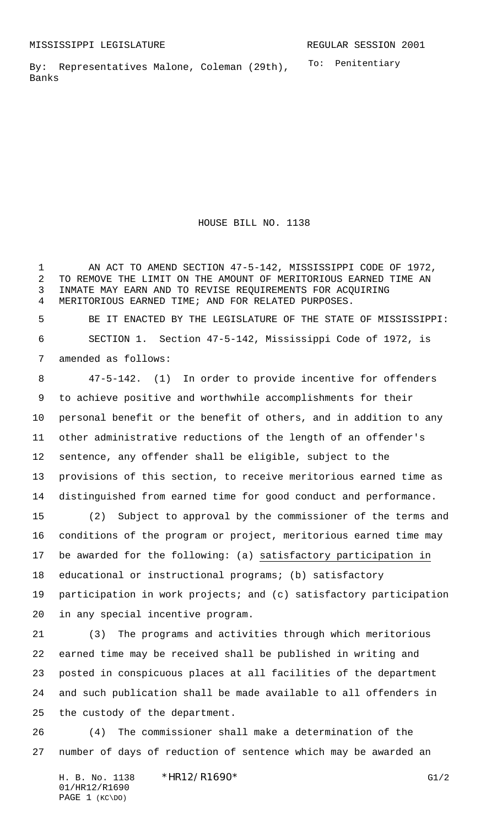To: Penitentiary By: Representatives Malone, Coleman (29th), Banks

HOUSE BILL NO. 1138

 AN ACT TO AMEND SECTION 47-5-142, MISSISSIPPI CODE OF 1972, TO REMOVE THE LIMIT ON THE AMOUNT OF MERITORIOUS EARNED TIME AN INMATE MAY EARN AND TO REVISE REQUIREMENTS FOR ACQUIRING MERITORIOUS EARNED TIME; AND FOR RELATED PURPOSES.

 BE IT ENACTED BY THE LEGISLATURE OF THE STATE OF MISSISSIPPI: SECTION 1. Section 47-5-142, Mississippi Code of 1972, is amended as follows:

 47-5-142. (1) In order to provide incentive for offenders to achieve positive and worthwhile accomplishments for their personal benefit or the benefit of others, and in addition to any other administrative reductions of the length of an offender's sentence, any offender shall be eligible, subject to the provisions of this section, to receive meritorious earned time as distinguished from earned time for good conduct and performance.

 (2) Subject to approval by the commissioner of the terms and conditions of the program or project, meritorious earned time may be awarded for the following: (a) satisfactory participation in educational or instructional programs; (b) satisfactory participation in work projects; and (c) satisfactory participation in any special incentive program.

 (3) The programs and activities through which meritorious earned time may be received shall be published in writing and posted in conspicuous places at all facilities of the department and such publication shall be made available to all offenders in the custody of the department.

 (4) The commissioner shall make a determination of the number of days of reduction of sentence which may be awarded an

H. B. No. 1138 \*HR12/R1690\* G1/2 01/HR12/R1690 PAGE 1 (KC\DO)